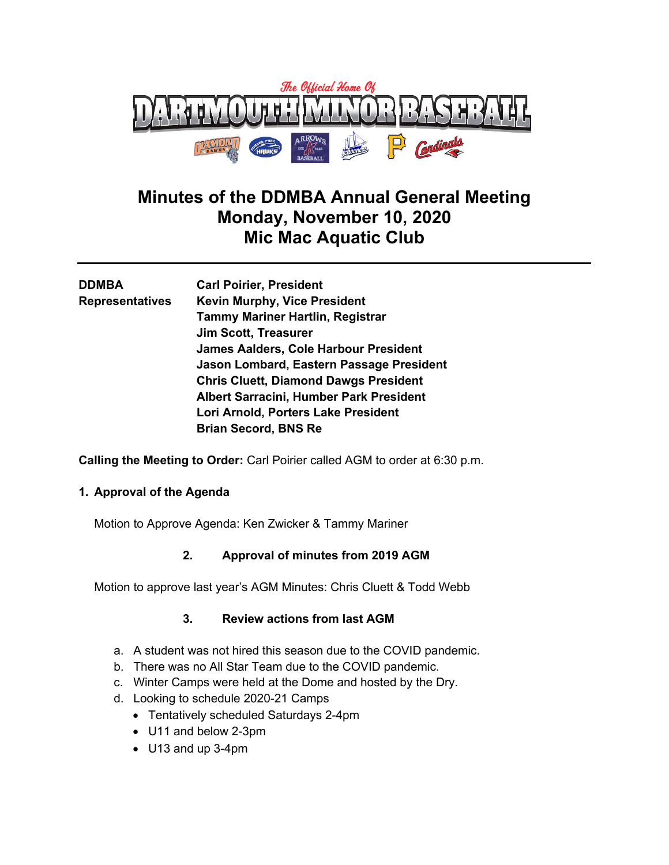

# **Minutes of the DDMBA Annual General Meeting Monday, November 10, 2020 Mic Mac Aquatic Club**

| <b>DDMBA</b>           | <b>Carl Poirier, President</b>               |
|------------------------|----------------------------------------------|
| <b>Representatives</b> | <b>Kevin Murphy, Vice President</b>          |
|                        | <b>Tammy Mariner Hartlin, Registrar</b>      |
|                        | <b>Jim Scott, Treasurer</b>                  |
|                        | <b>James Aalders, Cole Harbour President</b> |
|                        | Jason Lombard, Eastern Passage President     |
|                        | <b>Chris Cluett, Diamond Dawgs President</b> |
|                        | Albert Sarracini, Humber Park President      |
|                        | Lori Arnold, Porters Lake President          |
|                        | <b>Brian Secord, BNS Re</b>                  |
|                        |                                              |

**Calling the Meeting to Order:** Carl Poirier called AGM to order at 6:30 p.m.

# **1. Approval of the Agenda**

Motion to Approve Agenda: Ken Zwicker & Tammy Mariner

# **2. Approval of minutes from 2019 AGM**

Motion to approve last year's AGM Minutes: Chris Cluett & Todd Webb

# **3. Review actions from last AGM**

- a. A student was not hired this season due to the COVID pandemic.
- b. There was no All Star Team due to the COVID pandemic.
- c. Winter Camps were held at the Dome and hosted by the Dry.
- d. Looking to schedule 2020-21 Camps
	- Tentatively scheduled Saturdays 2-4pm
	- U11 and below 2-3pm
	- U13 and up 3-4pm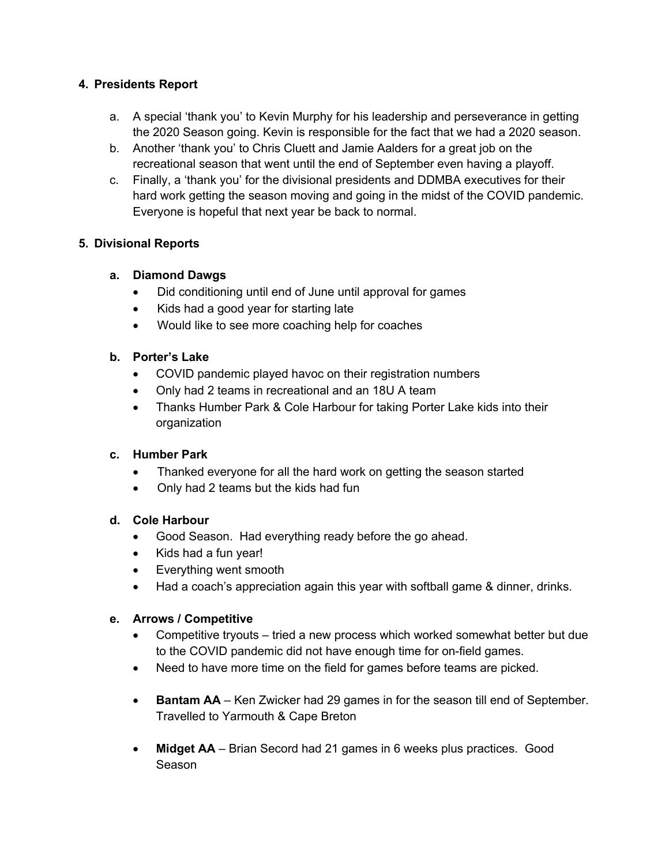# **4. Presidents Report**

- a. A special 'thank you' to Kevin Murphy for his leadership and perseverance in getting the 2020 Season going. Kevin is responsible for the fact that we had a 2020 season.
- b. Another 'thank you' to Chris Cluett and Jamie Aalders for a great job on the recreational season that went until the end of September even having a playoff.
- c. Finally, a 'thank you' for the divisional presidents and DDMBA executives for their hard work getting the season moving and going in the midst of the COVID pandemic. Everyone is hopeful that next year be back to normal.

## **5. Divisional Reports**

#### **a. Diamond Dawgs**

- Did conditioning until end of June until approval for games
- Kids had a good year for starting late
- Would like to see more coaching help for coaches

## **b. Porter's Lake**

- COVID pandemic played havoc on their registration numbers
- Only had 2 teams in recreational and an 18U A team
- Thanks Humber Park & Cole Harbour for taking Porter Lake kids into their organization

#### **c. Humber Park**

- Thanked everyone for all the hard work on getting the season started
- Only had 2 teams but the kids had fun

# **d. Cole Harbour**

- Good Season. Had everything ready before the go ahead.
- Kids had a fun year!
- Everything went smooth
- Had a coach's appreciation again this year with softball game & dinner, drinks.

#### **e. Arrows / Competitive**

- Competitive tryouts tried a new process which worked somewhat better but due to the COVID pandemic did not have enough time for on-field games.
- Need to have more time on the field for games before teams are picked.
- **Bantam AA** Ken Zwicker had 29 games in for the season till end of September. Travelled to Yarmouth & Cape Breton
- **Midget AA** Brian Secord had 21 games in 6 weeks plus practices. Good Season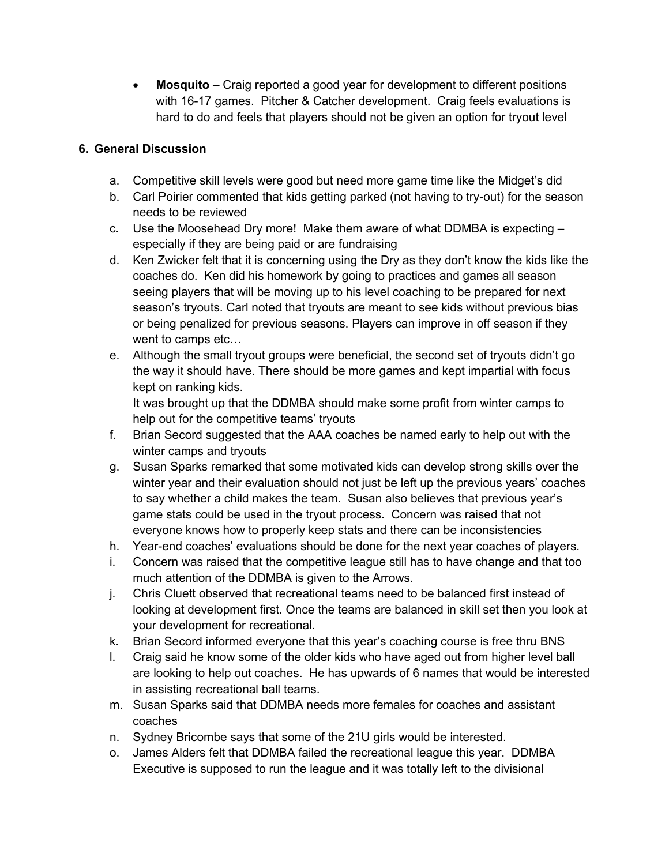• **Mosquito** – Craig reported a good year for development to different positions with 16-17 games. Pitcher & Catcher development. Craig feels evaluations is hard to do and feels that players should not be given an option for tryout level

# **6. General Discussion**

- a. Competitive skill levels were good but need more game time like the Midget's did
- b. Carl Poirier commented that kids getting parked (not having to try-out) for the season needs to be reviewed
- c. Use the Moosehead Dry more! Make them aware of what DDMBA is expecting especially if they are being paid or are fundraising
- d. Ken Zwicker felt that it is concerning using the Dry as they don't know the kids like the coaches do. Ken did his homework by going to practices and games all season seeing players that will be moving up to his level coaching to be prepared for next season's tryouts. Carl noted that tryouts are meant to see kids without previous bias or being penalized for previous seasons. Players can improve in off season if they went to camps etc…
- e. Although the small tryout groups were beneficial, the second set of tryouts didn't go the way it should have. There should be more games and kept impartial with focus kept on ranking kids.

It was brought up that the DDMBA should make some profit from winter camps to help out for the competitive teams' tryouts

- f. Brian Secord suggested that the AAA coaches be named early to help out with the winter camps and tryouts
- g. Susan Sparks remarked that some motivated kids can develop strong skills over the winter year and their evaluation should not just be left up the previous years' coaches to say whether a child makes the team. Susan also believes that previous year's game stats could be used in the tryout process. Concern was raised that not everyone knows how to properly keep stats and there can be inconsistencies
- h. Year-end coaches' evaluations should be done for the next year coaches of players.
- i. Concern was raised that the competitive league still has to have change and that too much attention of the DDMBA is given to the Arrows.
- j. Chris Cluett observed that recreational teams need to be balanced first instead of looking at development first. Once the teams are balanced in skill set then you look at your development for recreational.
- k. Brian Secord informed everyone that this year's coaching course is free thru BNS
- l. Craig said he know some of the older kids who have aged out from higher level ball are looking to help out coaches. He has upwards of 6 names that would be interested in assisting recreational ball teams.
- m. Susan Sparks said that DDMBA needs more females for coaches and assistant coaches
- n. Sydney Bricombe says that some of the 21U girls would be interested.
- o. James Alders felt that DDMBA failed the recreational league this year. DDMBA Executive is supposed to run the league and it was totally left to the divisional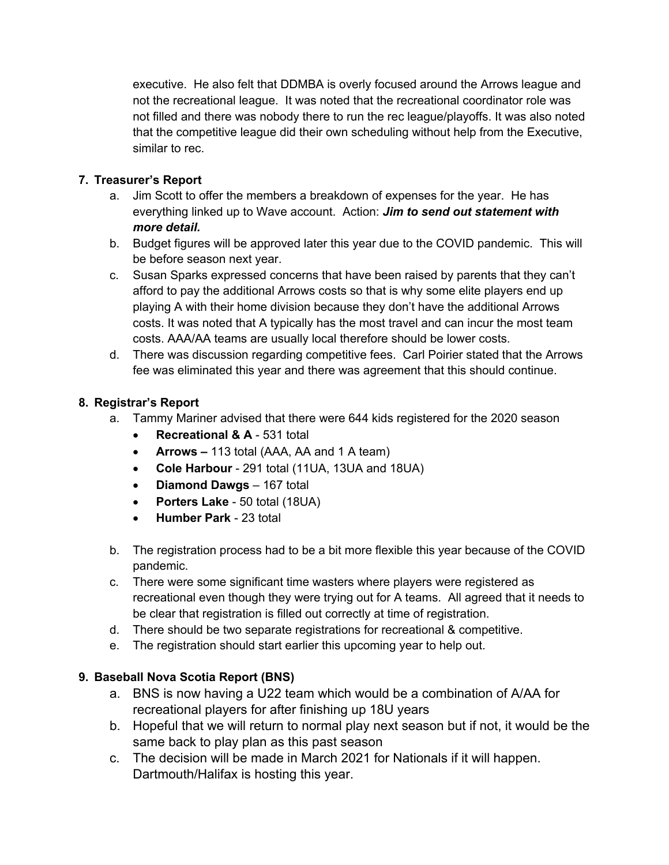executive. He also felt that DDMBA is overly focused around the Arrows league and not the recreational league. It was noted that the recreational coordinator role was not filled and there was nobody there to run the rec league/playoffs. It was also noted that the competitive league did their own scheduling without help from the Executive, similar to rec.

# **7. Treasurer's Report**

- a. Jim Scott to offer the members a breakdown of expenses for the year. He has everything linked up to Wave account. Action: *Jim to send out statement with more detail.*
- b. Budget figures will be approved later this year due to the COVID pandemic. This will be before season next year.
- c. Susan Sparks expressed concerns that have been raised by parents that they can't afford to pay the additional Arrows costs so that is why some elite players end up playing A with their home division because they don't have the additional Arrows costs. It was noted that A typically has the most travel and can incur the most team costs. AAA/AA teams are usually local therefore should be lower costs.
- d. There was discussion regarding competitive fees. Carl Poirier stated that the Arrows fee was eliminated this year and there was agreement that this should continue.

# **8. Registrar's Report**

- a. Tammy Mariner advised that there were 644 kids registered for the 2020 season
	- **Recreational & A** 531 total
	- **Arrows –** 113 total (AAA, AA and 1 A team)
	- **Cole Harbour** 291 total (11UA, 13UA and 18UA)
	- **Diamond Dawgs** 167 total
	- **Porters Lake** 50 total (18UA)
	- **Humber Park** 23 total
- b. The registration process had to be a bit more flexible this year because of the COVID pandemic.
- c. There were some significant time wasters where players were registered as recreational even though they were trying out for A teams. All agreed that it needs to be clear that registration is filled out correctly at time of registration.
- d. There should be two separate registrations for recreational & competitive.
- e. The registration should start earlier this upcoming year to help out.

# **9. Baseball Nova Scotia Report (BNS)**

- a. BNS is now having a U22 team which would be a combination of A/AA for recreational players for after finishing up 18U years
- b. Hopeful that we will return to normal play next season but if not, it would be the same back to play plan as this past season
- c. The decision will be made in March 2021 for Nationals if it will happen. Dartmouth/Halifax is hosting this year.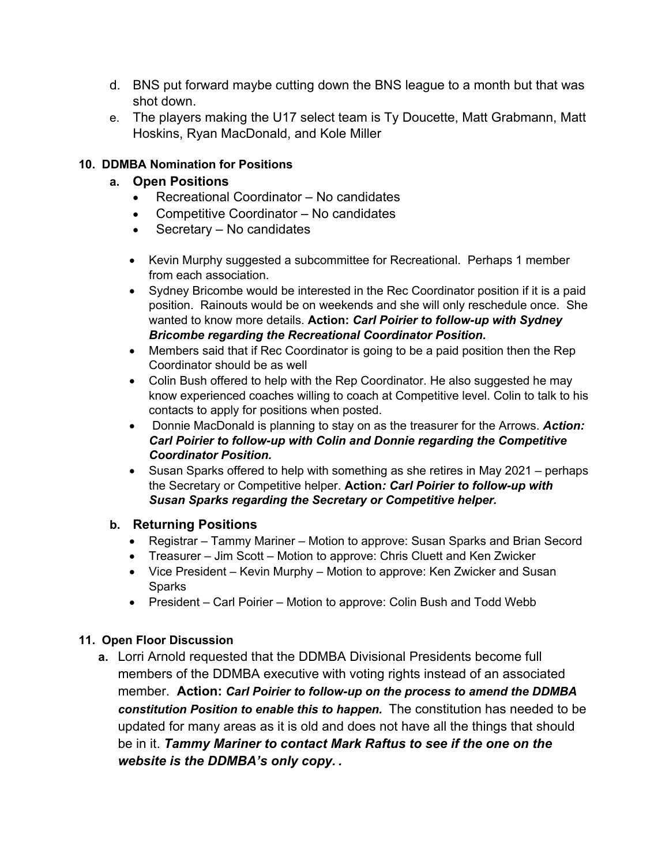- d. BNS put forward maybe cutting down the BNS league to a month but that was shot down.
- e. The players making the U17 select team is Ty Doucette, Matt Grabmann, Matt Hoskins, Ryan MacDonald, and Kole Miller

# **10. DDMBA Nomination for Positions**

# **a. Open Positions**

- Recreational Coordinator No candidates
- Competitive Coordinator No candidates
- Secretary No candidates
- Kevin Murphy suggested a subcommittee for Recreational. Perhaps 1 member from each association.
- Sydney Bricombe would be interested in the Rec Coordinator position if it is a paid position. Rainouts would be on weekends and she will only reschedule once. She wanted to know more details. **Action:** *Carl Poirier to follow-up with Sydney Bricombe regarding the Recreational Coordinator Position.*
- Members said that if Rec Coordinator is going to be a paid position then the Rep Coordinator should be as well
- Colin Bush offered to help with the Rep Coordinator. He also suggested he may know experienced coaches willing to coach at Competitive level. Colin to talk to his contacts to apply for positions when posted.
- Donnie MacDonald is planning to stay on as the treasurer for the Arrows. *Action: Carl Poirier to follow-up with Colin and Donnie regarding the Competitive Coordinator Position.*
- Susan Sparks offered to help with something as she retires in May 2021 perhaps the Secretary or Competitive helper. **Action***: Carl Poirier to follow-up with Susan Sparks regarding the Secretary or Competitive helper.*

# **b. Returning Positions**

- Registrar Tammy Mariner Motion to approve: Susan Sparks and Brian Secord
- Treasurer Jim Scott Motion to approve: Chris Cluett and Ken Zwicker
- Vice President Kevin Murphy Motion to approve: Ken Zwicker and Susan **Sparks**
- President Carl Poirier Motion to approve: Colin Bush and Todd Webb

# **11. Open Floor Discussion**

**a.** Lorri Arnold requested that the DDMBA Divisional Presidents become full members of the DDMBA executive with voting rights instead of an associated member. **Action:** *Carl Poirier to follow-up on the process to amend the DDMBA constitution Position to enable this to happen.* The constitution has needed to be updated for many areas as it is old and does not have all the things that should be in it. *Tammy Mariner to contact Mark Raftus to see if the one on the website is the DDMBA's only copy. .*